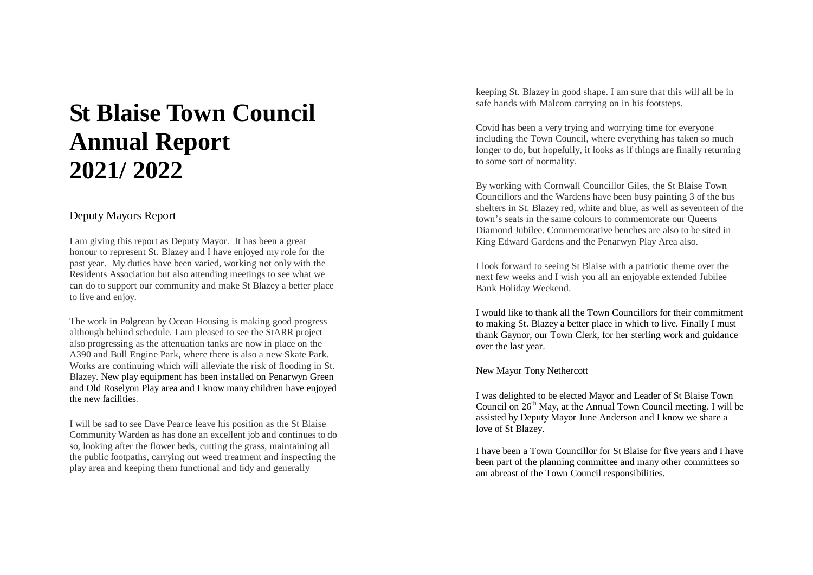# **St Blaise Town Council Annual Report 2021/ 2022**

## Deputy Mayors Report

I am giving this report as Deputy Mayor. It has been a great honour to represent St. Blazey and I have enjoyed my role for the past year. My duties have been varied, working not only with the Residents Association but also attending meetings to see what we can do to support our community and make St Blazey a better place to live and enjoy.

The work in Polgrean by Ocean Housing is making good progress although behind schedule. I am pleased to see the StARR project also progressing as the attenuation tanks are now in place on the A390 and Bull Engine Park, where there is also a new Skate Park. Works are continuing which will alleviate the risk of flooding in St. Blazey. New play equipment has been installed on Penarwyn Green and Old Roselyon Play area and I know many children have enjoyed the new facilities .

I will be sad to see Dave Pearce leave his position as the St Blaise Community Warden as has done an excellent job and continues to do so, looking after the flower beds, cutting the grass, maintaining all the public footpaths, carrying out weed treatment and inspecting the play area and keeping them functional and tidy and generally

keeping St. Blazey in good shape. I am sure that this will all be in safe hands with Malcom carrying on in his footsteps.

Covid has been a very trying and worrying time for everyone including the Town Council, where everything has taken so much longer to do, but hopefully, it looks as if things are finally returning to some sort of normality.

By working with Cornwall Councillor Giles, the St Blaise Town Councillors and the Wardens have been busy painting 3 of the bus shelters in St. Blazey red, white and blue, as well as seventeen of the town's seats in the same colours to commemorate our Queens Diamond Jubilee. Commemorative benches are also to be sited in King Edward Gardens and the Penarwyn Play Area also.

I look forward to seeing St Blaise with a patriotic theme over the next few weeks and I wish you all an enjoyable extended Jubilee Bank Holiday Weekend.

I would like to thank all the Town Councillors for their commitment to making St. Blazey a better place in which to live. Finally I must thank Gaynor, our Town Clerk, for her sterling work and guidance over the last year.

New Mayor Tony Nethercott

I was delighted to be elected Mayor and Leader of St Blaise Town Council on  $26<sup>th</sup>$  May, at the Annual Town Council meeting. I will be assisted by Deputy Mayor June Anderson and I know we share a love of St Blazey .

I have been a Town Councillor for St Blaise for five years and I have been part of the planning committee and many other committees so am abreast of the Town Council responsibilities.